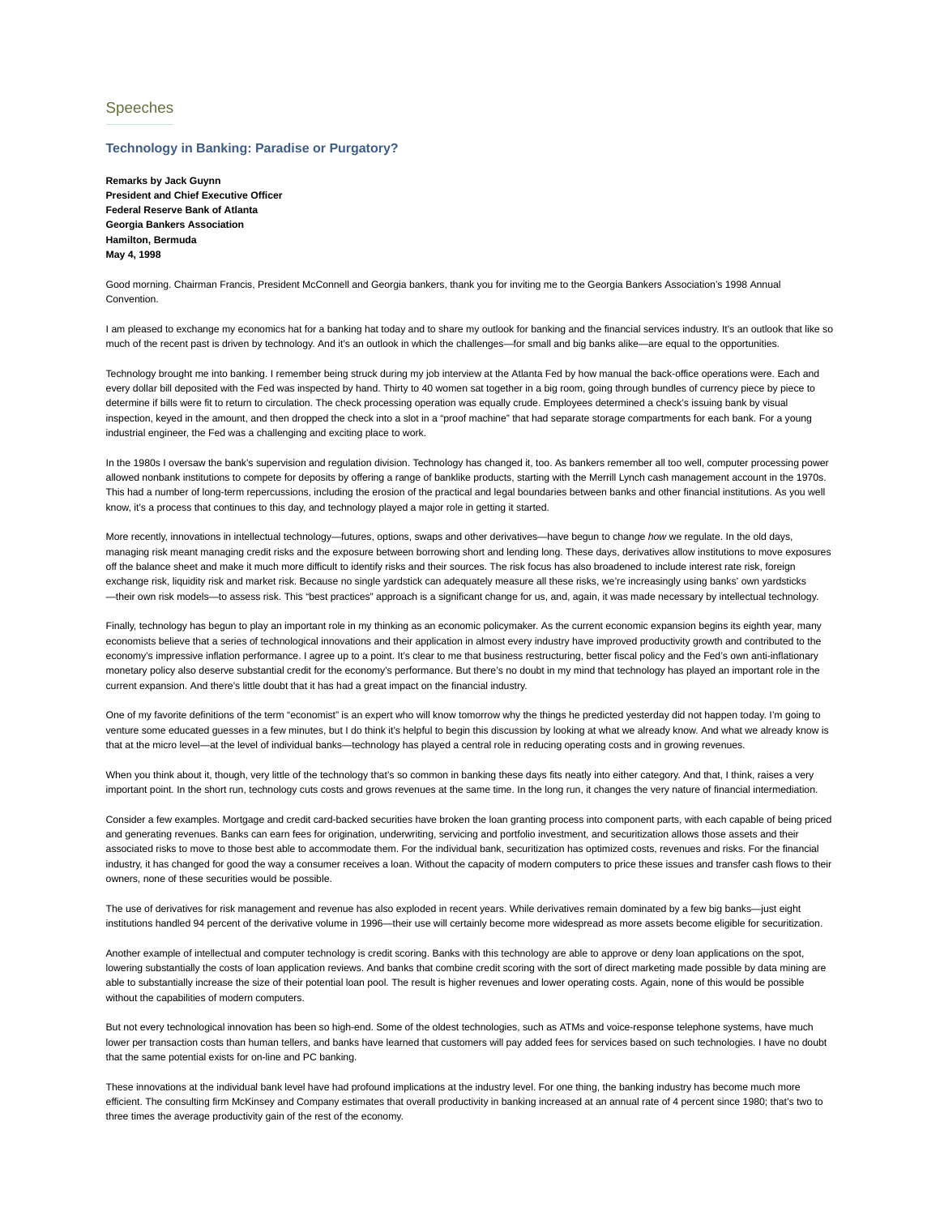## Speeches

## **Technology in Banking: Paradise or Purgatory?**

**Remarks by Jack Guynn President and Chief Executive Officer Federal Reserve Bank of Atlanta Georgia Bankers Association Hamilton, Bermuda May 4, 1998**

Good morning. Chairman Francis, President McConnell and Georgia bankers, thank you for inviting me to the Georgia Bankers Association's 1998 Annual **Convention** 

I am pleased to exchange my economics hat for a banking hat today and to share my outlook for banking and the financial services industry. It's an outlook that like so much of the recent past is driven by technology. And it's an outlook in which the challenges—for small and big banks alike—are equal to the opportunities.

Technology brought me into banking. I remember being struck during my job interview at the Atlanta Fed by how manual the back-office operations were. Each and every dollar bill deposited with the Fed was inspected by hand. Thirty to 40 women sat together in a big room, going through bundles of currency piece by piece to determine if bills were fit to return to circulation. The check processing operation was equally crude. Employees determined a check's issuing bank by visual inspection, keyed in the amount, and then dropped the check into a slot in a "proof machine" that had separate storage compartments for each bank. For a young industrial engineer, the Fed was a challenging and exciting place to work.

In the 1980s I oversaw the bank's supervision and regulation division. Technology has changed it, too. As bankers remember all too well, computer processing power allowed nonbank institutions to compete for deposits by offering a range of banklike products, starting with the Merrill Lynch cash management account in the 1970s. This had a number of long-term repercussions, including the erosion of the practical and legal boundaries between banks and other financial institutions. As you well know, it's a process that continues to this day, and technology played a major role in getting it started.

More recently, innovations in intellectual technology—futures, options, swaps and other derivatives—have begun to change *how* we regulate. In the old days, managing risk meant managing credit risks and the exposure between borrowing short and lending long. These days, derivatives allow institutions to move exposures off the balance sheet and make it much more difficult to identify risks and their sources. The risk focus has also broadened to include interest rate risk, foreign exchange risk, liquidity risk and market risk. Because no single vardstick can adequately measure all these risks, we're increasingly using banks' own vardsticks —their own risk models—to assess risk. This "best practices" approach is a significant change for us, and, again, it was made necessary by intellectual technology.

Finally, technology has begun to play an important role in my thinking as an economic policymaker. As the current economic expansion begins its eighth year, many economists believe that a series of technological innovations and their application in almost every industry have improved productivity growth and contributed to the economy's impressive inflation performance. I agree up to a point. It's clear to me that business restructuring, better fiscal policy and the Fed's own anti-inflationary monetary policy also deserve substantial credit for the economy's performance. But there's no doubt in my mind that technology has played an important role in the current expansion. And there's little doubt that it has had a great impact on the financial industry.

One of my favorite definitions of the term "economist" is an expert who will know tomorrow why the things he predicted yesterday did not happen today. I'm going to venture some educated quesses in a few minutes, but I do think it's helpful to begin this discussion by looking at what we already know. And what we already know is that at the micro level—at the level of individual banks—technology has played a central role in reducing operating costs and in growing revenues.

When you think about it, though, very little of the technology that's so common in banking these days fits neatly into either category. And that, I think, raises a very important point. In the short run, technology cuts costs and grows revenues at the same time. In the long run, it changes the very nature of financial intermediation.

Consider a few examples. Mortgage and credit card-backed securities have broken the loan granting process into component parts, with each capable of being priced and generating revenues. Banks can earn fees for origination, underwriting, servicing and portfolio investment, and securitization allows those assets and their associated risks to move to those best able to accommodate them. For the individual bank, securitization has optimized costs, revenues and risks. For the financial industry, it has changed for good the way a consumer receives a loan. Without the capacity of modern computers to price these issues and transfer cash flows to their owners, none of these securities would be possible.

The use of derivatives for risk management and revenue has also exploded in recent years. While derivatives remain dominated by a few big banks—just eight institutions handled 94 percent of the derivative volume in 1996—their use will certainly become more widespread as more assets become eligible for securitization.

Another example of intellectual and computer technology is credit scoring. Banks with this technology are able to approve or deny loan applications on the spot, lowering substantially the costs of loan application reviews. And banks that combine credit scoring with the sort of direct marketing made possible by data mining are able to substantially increase the size of their potential loan pool. The result is higher revenues and lower operating costs. Again, none of this would be possible without the capabilities of modern computers.

But not every technological innovation has been so high-end. Some of the oldest technologies, such as ATMs and voice-response telephone systems, have much lower per transaction costs than human tellers, and banks have learned that customers will pay added fees for services based on such technologies. I have no doubt that the same potential exists for on-line and PC banking.

These innovations at the individual bank level have had profound implications at the industry level. For one thing, the banking industry has become much more efficient. The consulting firm McKinsey and Company estimates that overall productivity in banking increased at an annual rate of 4 percent since 1980; that's two to three times the average productivity gain of the rest of the economy.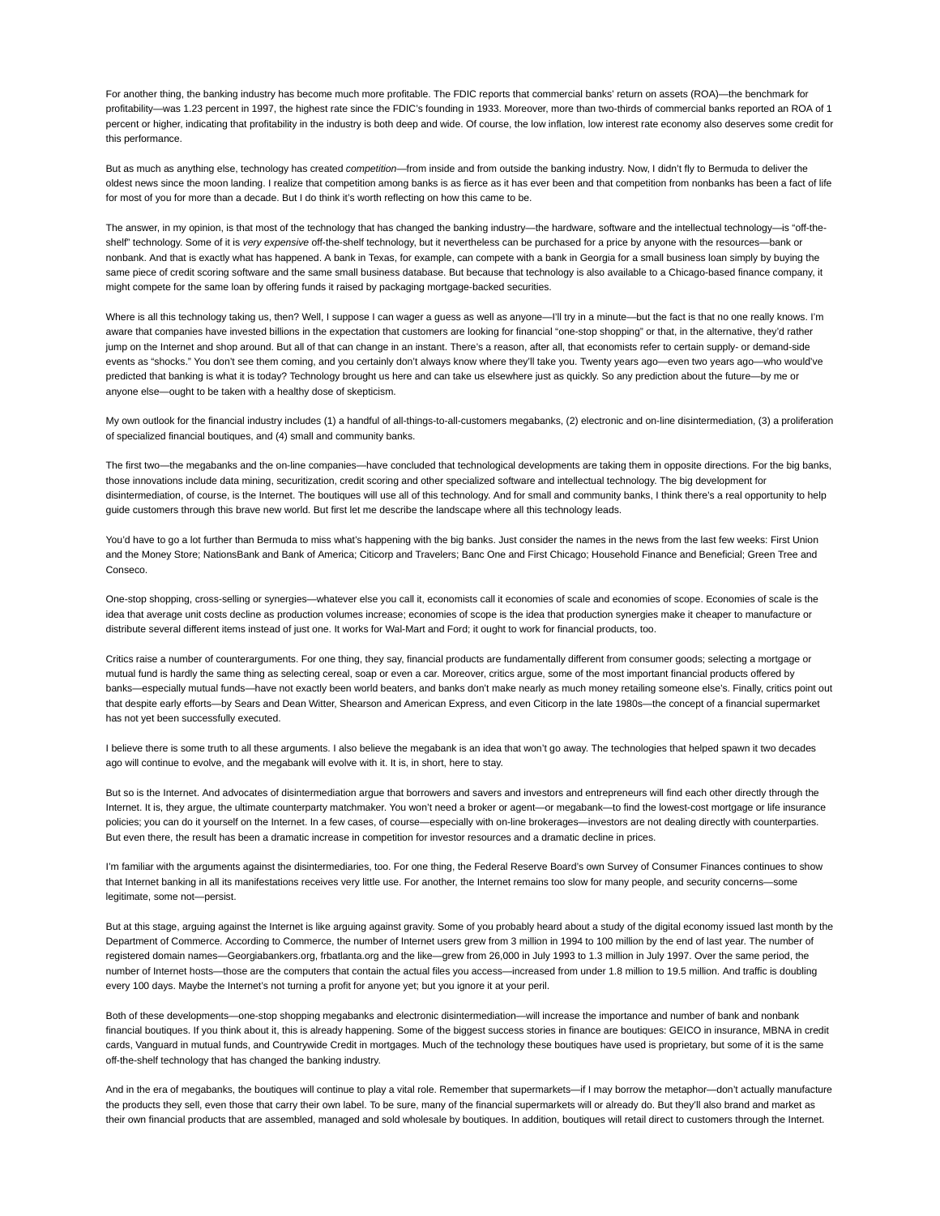For another thing, the banking industry has become much more profitable. The FDIC reports that commercial banks' return on assets (ROA)—the benchmark for profitability—was 1.23 percent in 1997, the highest rate since the FDIC's founding in 1933. Moreover, more than two-thirds of commercial banks reported an ROA of 1 percent or higher, indicating that profitability in the industry is both deep and wide. Of course, the low inflation, low interest rate economy also deserves some credit for this performance.

But as much as anything else, technology has created *competition*—from inside and from outside the banking industry. Now, I didn't fly to Bermuda to deliver the oldest news since the moon landing. I realize that competition among banks is as fierce as it has ever been and that competition from nonbanks has been a fact of life for most of you for more than a decade. But I do think it's worth reflecting on how this came to be.

The answer, in my opinion, is that most of the technology that has changed the banking industry—the hardware, software and the intellectual technology—is "off-theshelf" technology. Some of it is *very expensive* off-the-shelf technology, but it nevertheless can be purchased for a price by anyone with the resources—bank or nonbank. And that is exactly what has happened. A bank in Texas, for example, can compete with a bank in Georgia for a small business loan simply by buying the same piece of credit scoring software and the same small business database. But because that technology is also available to a Chicago-based finance company, it might compete for the same loan by offering funds it raised by packaging mortgage-backed securities.

Where is all this technology taking us, then? Well, I suppose I can wager a guess as well as anyone—I'll try in a minute—but the fact is that no one really knows. I'm aware that companies have invested billions in the expectation that customers are looking for financial "one-stop shopping" or that, in the alternative, they'd rather jump on the Internet and shop around. But all of that can change in an instant. There's a reason, after all, that economists refer to certain supply- or demand-side events as "shocks." You don't see them coming, and you certainly don't always know where they'll take you. Twenty years ago—even two years ago—who would've predicted that banking is what it is today? Technology brought us here and can take us elsewhere just as quickly. So any prediction about the future—by me or anyone else—ought to be taken with a healthy dose of skepticism.

My own outlook for the financial industry includes (1) a handful of all-things-to-all-customers megabanks, (2) electronic and on-line disintermediation, (3) a proliferation of specialized financial boutiques, and (4) small and community banks.

The first two—the megabanks and the on-line companies—have concluded that technological developments are taking them in opposite directions. For the big banks, those innovations include data mining, securitization, credit scoring and other specialized software and intellectual technology. The big development for disintermediation, of course, is the Internet. The boutiques will use all of this technology. And for small and community banks, I think there's a real opportunity to help guide customers through this brave new world. But first let me describe the landscape where all this technology leads.

You'd have to go a lot further than Bermuda to miss what's happening with the big banks. Just consider the names in the news from the last few weeks: First Union and the Money Store; NationsBank and Bank of America; Citicorp and Travelers; Banc One and First Chicago; Household Finance and Beneficial; Green Tree and Conseco.

One-stop shopping, cross-selling or synergies—whatever else you call it, economists call it economies of scale and economies of scope. Economies of scale is the idea that average unit costs decline as production volumes increase; economies of scope is the idea that production synergies make it cheaper to manufacture or distribute several different items instead of just one. It works for Wal-Mart and Ford; it ought to work for financial products, too.

Critics raise a number of counterarguments. For one thing, they say, financial products are fundamentally different from consumer goods; selecting a mortgage or mutual fund is hardly the same thing as selecting cereal, soap or even a car. Moreover, critics argue, some of the most important financial products offered by banks—especially mutual funds—have not exactly been world beaters, and banks don't make nearly as much money retailing someone else's. Finally, critics point out that despite early efforts—by Sears and Dean Witter, Shearson and American Express, and even Citicorp in the late 1980s—the concept of a financial supermarket has not yet been successfully executed.

I believe there is some truth to all these arguments. I also believe the megabank is an idea that won't go away. The technologies that helped spawn it two decades ago will continue to evolve, and the megabank will evolve with it. It is, in short, here to stay.

But so is the Internet. And advocates of disintermediation argue that borrowers and savers and investors and entrepreneurs will find each other directly through the Internet. It is, they argue, the ultimate counterparty matchmaker. You won't need a broker or agent—or megabank—to find the lowest-cost mortgage or life insurance policies; you can do it yourself on the Internet. In a few cases, of course—especially with on-line brokerages—investors are not dealing directly with counterparties. But even there, the result has been a dramatic increase in competition for investor resources and a dramatic decline in prices.

I'm familiar with the arguments against the disintermediaries, too. For one thing, the Federal Reserve Board's own Survey of Consumer Finances continues to show that Internet banking in all its manifestations receives very little use. For another, the Internet remains too slow for many people, and security concerns—some legitimate, some not—persist.

But at this stage, arguing against the Internet is like arguing against gravity. Some of you probably heard about a study of the digital economy issued last month by the Department of Commerce. According to Commerce, the number of Internet users grew from 3 million in 1994 to 100 million by the end of last year. The number of registered domain names—Georgiabankers.org, frbatlanta.org and the like—grew from 26,000 in July 1993 to 1.3 million in July 1997. Over the same period, the number of Internet hosts—those are the computers that contain the actual files you access—increased from under 1.8 million to 19.5 million. And traffic is doubling every 100 days. Maybe the Internet's not turning a profit for anyone yet; but you ignore it at your peril.

Both of these developments—one-stop shopping megabanks and electronic disintermediation—will increase the importance and number of bank and nonbank financial boutiques. If you think about it, this is already happening. Some of the biggest success stories in finance are boutiques: GEICO in insurance, MBNA in credit cards, Vanguard in mutual funds, and Countrywide Credit in mortgages. Much of the technology these boutiques have used is proprietary, but some of it is the same off-the-shelf technology that has changed the banking industry.

And in the era of megabanks, the boutiques will continue to play a vital role. Remember that supermarkets—if I may borrow the metaphor—don't actually manufacture the products they sell, even those that carry their own label. To be sure, many of the financial supermarkets will or already do. But they'll also brand and market as their own financial products that are assembled, managed and sold wholesale by boutiques. In addition, boutiques will retail direct to customers through the Internet.